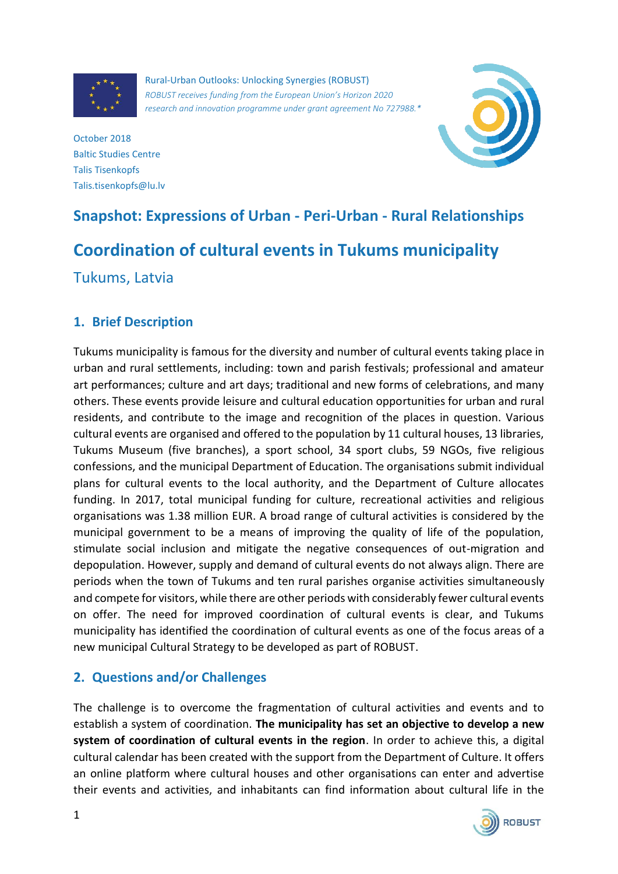

Rural-Urban Outlooks: Unlocking Synergies (ROBUST) *ROBUST receives funding from the European Union's Horizon 2020 research and innovation programme under grant agreement No 727988.\**



October 2018 Baltic Studies Centre Talis Tisenkopfs Talis.tisenkopfs@lu.lv

# **Snapshot: Expressions of Urban - Peri-Urban - Rural Relationships Coordination of cultural events in Tukums municipality** Tukums, Latvia

# **1. Brief Description**

Tukums municipality is famous for the diversity and number of cultural events taking place in urban and rural settlements, including: town and parish festivals; professional and amateur art performances; culture and art days; traditional and new forms of celebrations, and many others. These events provide leisure and cultural education opportunities for urban and rural residents, and contribute to the image and recognition of the places in question. Various cultural events are organised and offered to the population by 11 cultural houses, 13 libraries, Tukums Museum (five branches), a sport school, 34 sport clubs, 59 NGOs, five religious confessions, and the municipal Department of Education. The organisations submit individual plans for cultural events to the local authority, and the Department of Culture allocates funding. In 2017, total municipal funding for culture, recreational activities and religious organisations was 1.38 million EUR. A broad range of cultural activities is considered by the municipal government to be a means of improving the quality of life of the population, stimulate social inclusion and mitigate the negative consequences of out-migration and depopulation. However, supply and demand of cultural events do not always align. There are periods when the town of Tukums and ten rural parishes organise activities simultaneously and compete for visitors, while there are other periods with considerably fewer cultural events on offer. The need for improved coordination of cultural events is clear, and Tukums municipality has identified the coordination of cultural events as one of the focus areas of a new municipal Cultural Strategy to be developed as part of ROBUST.

## **2. Questions and/or Challenges**

The challenge is to overcome the fragmentation of cultural activities and events and to establish a system of coordination. **The municipality has set an objective to develop a new system of coordination of cultural events in the region**. In order to achieve this, a digital cultural calendar has been created with the support from the Department of Culture. It offers an online platform where cultural houses and other organisations can enter and advertise their events and activities, and inhabitants can find information about cultural life in the

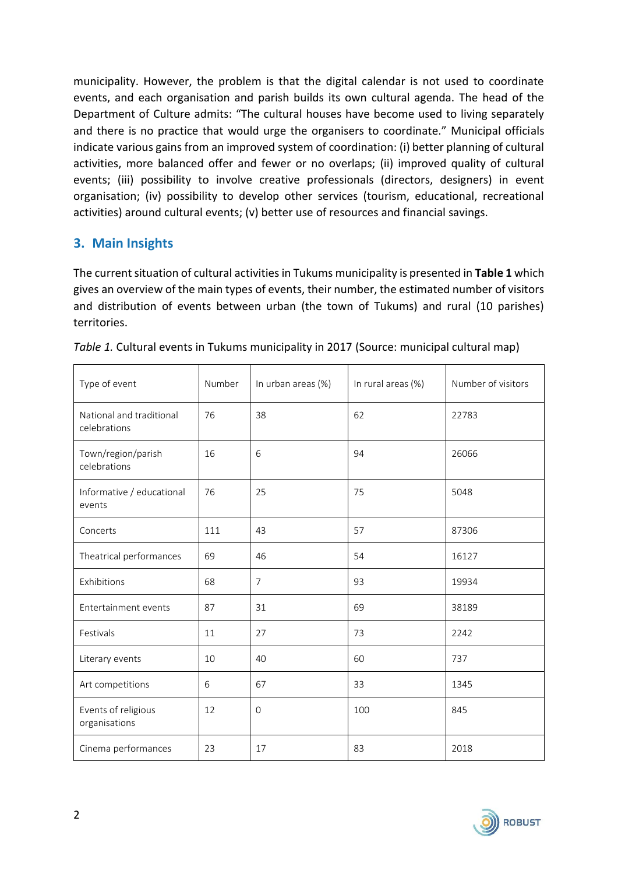municipality. However, the problem is that the digital calendar is not used to coordinate events, and each organisation and parish builds its own cultural agenda. The head of the Department of Culture admits: "The cultural houses have become used to living separately and there is no practice that would urge the organisers to coordinate." Municipal officials indicate various gains from an improved system of coordination: (i) better planning of cultural activities, more balanced offer and fewer or no overlaps; (ii) improved quality of cultural events; (iii) possibility to involve creative professionals (directors, designers) in event organisation; (iv) possibility to develop other services (tourism, educational, recreational activities) around cultural events; (v) better use of resources and financial savings.

## **3. Main Insights**

The current situation of cultural activities in Tukums municipality is presented in **Table 1** which gives an overview of the main types of events, their number, the estimated number of visitors and distribution of events between urban (the town of Tukums) and rural (10 parishes) territories.

| Type of event                            | Number | In urban areas (%) | In rural areas (%) | Number of visitors |  |
|------------------------------------------|--------|--------------------|--------------------|--------------------|--|
| National and traditional<br>celebrations | 76     | 38                 | 62                 | 22783              |  |
| Town/region/parish<br>celebrations       | 16     | 6                  | 94                 | 26066              |  |
| Informative / educational<br>events      | 76     | 25                 | 75                 | 5048               |  |
| Concerts                                 | 111    | 43                 | 57                 | 87306              |  |
| Theatrical performances                  | 69     | 46                 | 54                 | 16127              |  |
| Exhibitions                              | 68     | $\overline{7}$     | 93                 | 19934              |  |
| Entertainment events                     | 87     | 31                 | 69                 | 38189              |  |
| Festivals                                | 11     | 27                 | 73                 | 2242               |  |
| Literary events                          | 10     | 40                 | 60                 | 737                |  |
| Art competitions                         | 6      | 67                 | 33                 | 1345               |  |
| Events of religious<br>organisations     | 12     | $\mathbf{O}$       | 100                | 845                |  |
| Cinema performances                      | 23     | 17                 | 83                 | 2018               |  |

|  |  | Table 1. Cultural events in Tukums municipality in 2017 (Source: municipal cultural map) |  |  |  |
|--|--|------------------------------------------------------------------------------------------|--|--|--|
|  |  |                                                                                          |  |  |  |

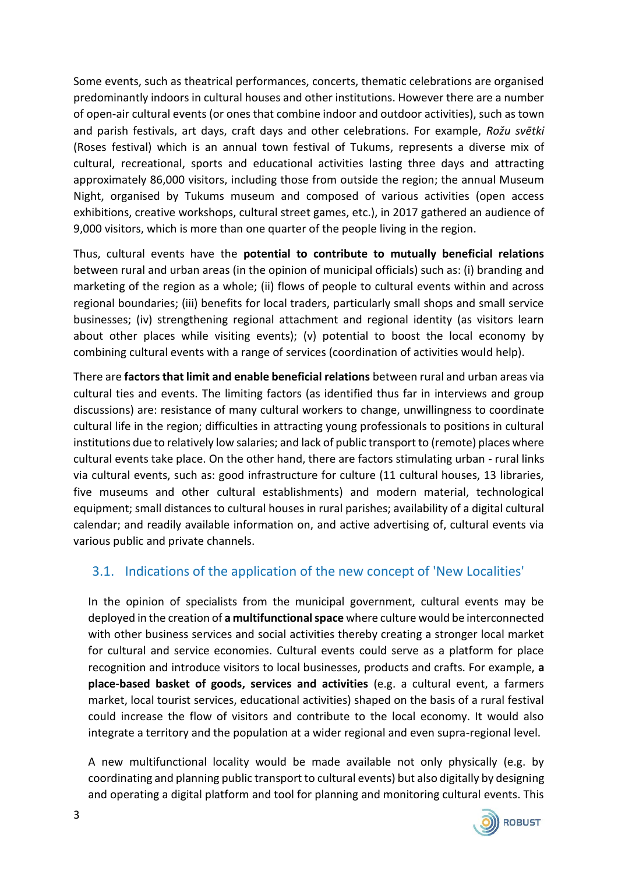Some events, such as theatrical performances, concerts, thematic celebrations are organised predominantly indoors in cultural houses and other institutions. However there are a number of open-air cultural events (or ones that combine indoor and outdoor activities), such as town and parish festivals, art days, craft days and other celebrations. For example, *Rožu svētki* (Roses festival) which is an annual town festival of Tukums, represents a diverse mix of cultural, recreational, sports and educational activities lasting three days and attracting approximately 86,000 visitors, including those from outside the region; the annual Museum Night, organised by Tukums museum and composed of various activities (open access exhibitions, creative workshops, cultural street games, etc.), in 2017 gathered an audience of 9,000 visitors, which is more than one quarter of the people living in the region.

Thus, cultural events have the **potential to contribute to mutually beneficial relations** between rural and urban areas (in the opinion of municipal officials) such as: (i) branding and marketing of the region as a whole; (ii) flows of people to cultural events within and across regional boundaries; (iii) benefits for local traders, particularly small shops and small service businesses; (iv) strengthening regional attachment and regional identity (as visitors learn about other places while visiting events); (v) potential to boost the local economy by combining cultural events with a range of services (coordination of activities would help).

There are **factors that limit and enable beneficial relations** between rural and urban areas via cultural ties and events. The limiting factors (as identified thus far in interviews and group discussions) are: resistance of many cultural workers to change, unwillingness to coordinate cultural life in the region; difficulties in attracting young professionals to positions in cultural institutions due to relatively low salaries; and lack of public transport to (remote) places where cultural events take place. On the other hand, there are factors stimulating urban - rural links via cultural events, such as: good infrastructure for culture (11 cultural houses, 13 libraries, five museums and other cultural establishments) and modern material, technological equipment; small distances to cultural houses in rural parishes; availability of a digital cultural calendar; and readily available information on, and active advertising of, cultural events via various public and private channels.

# 3.1. Indications of the application of the new concept of 'New Localities'

In the opinion of specialists from the municipal government, cultural events may be deployed in the creation of **a multifunctional space** where culture would be interconnected with other business services and social activities thereby creating a stronger local market for cultural and service economies. Cultural events could serve as a platform for place recognition and introduce visitors to local businesses, products and crafts. For example, **a place-based basket of goods, services and activities** (e.g. a cultural event, a farmers market, local tourist services, educational activities) shaped on the basis of a rural festival could increase the flow of visitors and contribute to the local economy. It would also integrate a territory and the population at a wider regional and even supra-regional level.

A new multifunctional locality would be made available not only physically (e.g. by coordinating and planning public transport to cultural events) but also digitally by designing and operating a digital platform and tool for planning and monitoring cultural events. This

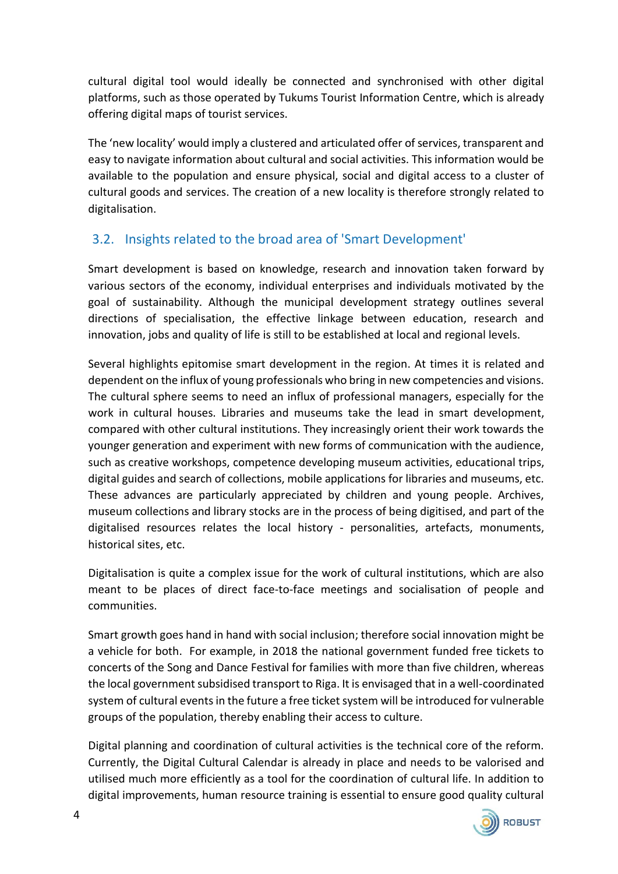cultural digital tool would ideally be connected and synchronised with other digital platforms, such as those operated by Tukums Tourist Information Centre, which is already offering digital maps of tourist services.

The 'new locality' would imply a clustered and articulated offer of services, transparent and easy to navigate information about cultural and social activities. This information would be available to the population and ensure physical, social and digital access to a cluster of cultural goods and services. The creation of a new locality is therefore strongly related to digitalisation.

# 3.2. Insights related to the broad area of 'Smart Development'

Smart development is based on knowledge, research and innovation taken forward by various sectors of the economy, individual enterprises and individuals motivated by the goal of sustainability. Although the municipal development strategy outlines several directions of specialisation, the effective linkage between education, research and innovation, jobs and quality of life is still to be established at local and regional levels.

Several highlights epitomise smart development in the region. At times it is related and dependent on the influx of young professionals who bring in new competencies and visions. The cultural sphere seems to need an influx of professional managers, especially for the work in cultural houses. Libraries and museums take the lead in smart development, compared with other cultural institutions. They increasingly orient their work towards the younger generation and experiment with new forms of communication with the audience, such as creative workshops, competence developing museum activities, educational trips, digital guides and search of collections, mobile applications for libraries and museums, etc. These advances are particularly appreciated by children and young people. Archives, museum collections and library stocks are in the process of being digitised, and part of the digitalised resources relates the local history - personalities, artefacts, monuments, historical sites, etc.

Digitalisation is quite a complex issue for the work of cultural institutions, which are also meant to be places of direct face-to-face meetings and socialisation of people and communities.

Smart growth goes hand in hand with social inclusion; therefore social innovation might be a vehicle for both. For example, in 2018 the national government funded free tickets to concerts of the Song and Dance Festival for families with more than five children, whereas the local government subsidised transport to Riga. It is envisaged that in a well-coordinated system of cultural events in the future a free ticket system will be introduced for vulnerable groups of the population, thereby enabling their access to culture.

Digital planning and coordination of cultural activities is the technical core of the reform. Currently, the Digital Cultural Calendar is already in place and needs to be valorised and utilised much more efficiently as a tool for the coordination of cultural life. In addition to digital improvements, human resource training is essential to ensure good quality cultural

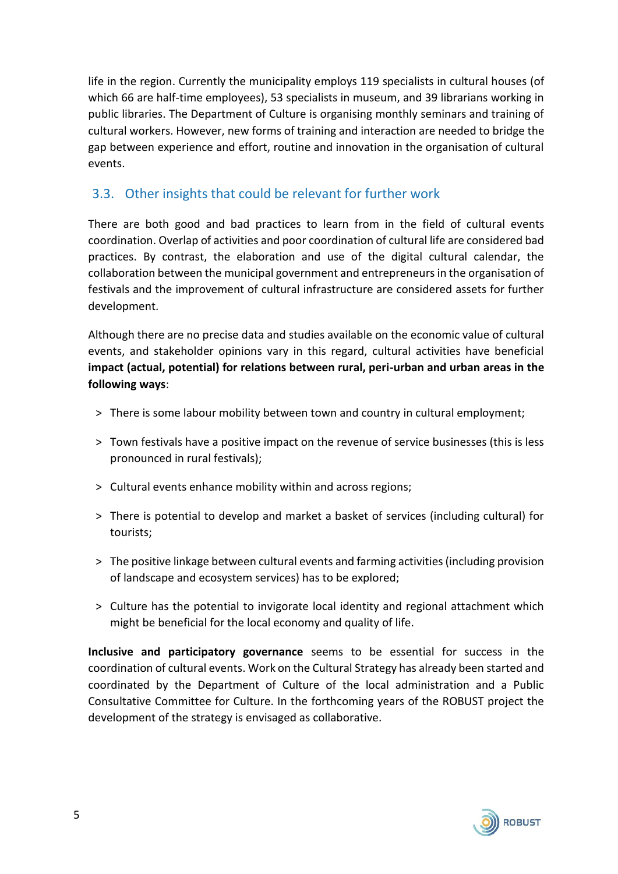life in the region. Currently the municipality employs 119 specialists in cultural houses (of which 66 are half-time employees), 53 specialists in museum, and 39 librarians working in public libraries. The Department of Culture is organising monthly seminars and training of cultural workers. However, new forms of training and interaction are needed to bridge the gap between experience and effort, routine and innovation in the organisation of cultural events.

## 3.3. Other insights that could be relevant for further work

There are both good and bad practices to learn from in the field of cultural events coordination. Overlap of activities and poor coordination of cultural life are considered bad practices. By contrast, the elaboration and use of the digital cultural calendar, the collaboration between the municipal government and entrepreneurs in the organisation of festivals and the improvement of cultural infrastructure are considered assets for further development.

Although there are no precise data and studies available on the economic value of cultural events, and stakeholder opinions vary in this regard, cultural activities have beneficial **impact (actual, potential) for relations between rural, peri-urban and urban areas in the following ways**:

- > There is some labour mobility between town and country in cultural employment;
- ˃ Town festivals have a positive impact on the revenue of service businesses (this is less pronounced in rural festivals);
- ˃ Cultural events enhance mobility within and across regions;
- ˃ There is potential to develop and market a basket of services (including cultural) for tourists;
- ˃ The positive linkage between cultural events and farming activities (including provision of landscape and ecosystem services) has to be explored;
- ˃ Culture has the potential to invigorate local identity and regional attachment which might be beneficial for the local economy and quality of life.

**Inclusive and participatory governance** seems to be essential for success in the coordination of cultural events. Work on the Cultural Strategy has already been started and coordinated by the Department of Culture of the local administration and a Public Consultative Committee for Culture. In the forthcoming years of the ROBUST project the development of the strategy is envisaged as collaborative.

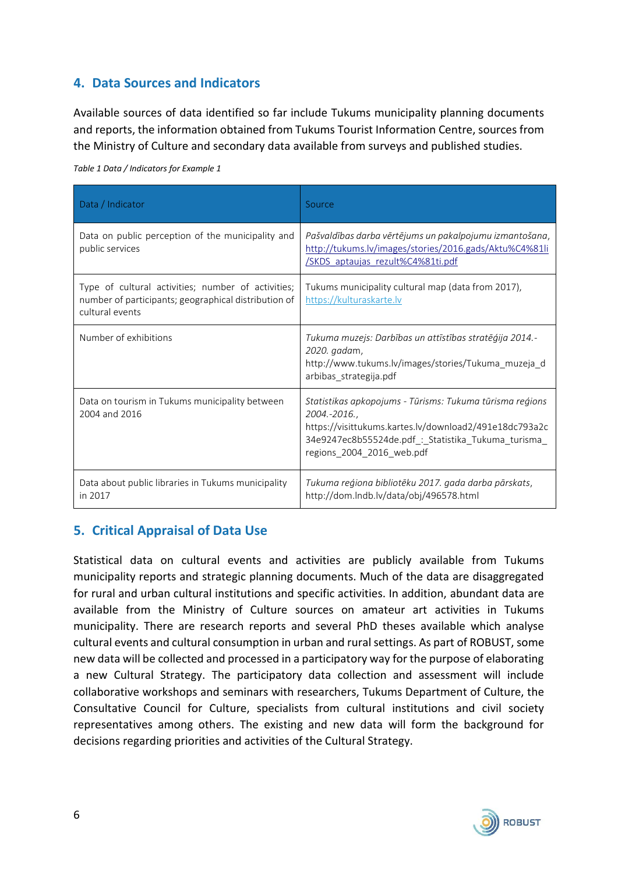## **4. Data Sources and Indicators**

Available sources of data identified so far include Tukums municipality planning documents and reports, the information obtained from Tukums Tourist Information Centre, sources from the Ministry of Culture and secondary data available from surveys and published studies.

| Data / Indicator                                                                                                              | Source                                                                                                                                                                                                                 |  |  |
|-------------------------------------------------------------------------------------------------------------------------------|------------------------------------------------------------------------------------------------------------------------------------------------------------------------------------------------------------------------|--|--|
| Data on public perception of the municipality and<br>public services                                                          | Pašvaldības darba vērtējums un pakalpojumu izmantošana,<br>http://tukums.lv/images/stories/2016.gads/Aktu%C4%81li<br>/SKDS aptaujas rezult%C4%81ti.pdf                                                                 |  |  |
| Type of cultural activities; number of activities;<br>number of participants; geographical distribution of<br>cultural events | Tukums municipality cultural map (data from 2017),<br>https://kulturaskarte.lv                                                                                                                                         |  |  |
| Number of exhibitions                                                                                                         | Tukuma muzejs: Darbības un attīstības stratēģija 2014.-<br>2020. gadam,<br>http://www.tukums.lv/images/stories/Tukuma_muzeja_d<br>arbibas strategija.pdf                                                               |  |  |
| Data on tourism in Tukums municipality between<br>2004 and 2016                                                               | Statistikas apkopojums - Tūrisms: Tukuma tūrisma reģions<br>2004.-2016.,<br>https://visittukums.kartes.lv/download2/491e18dc793a2c<br>34e9247ec8b55524de.pdf_:_Statistika_Tukuma_turisma_<br>regions_2004_2016_web.pdf |  |  |
| Data about public libraries in Tukums municipality<br>in 2017                                                                 | Tukuma reģiona bibliotēku 2017. gada darba pārskats,<br>http://dom.lndb.lv/data/obj/496578.html                                                                                                                        |  |  |

*Table 1 Data / Indicators for Example 1*

## **5. Critical Appraisal of Data Use**

Statistical data on cultural events and activities are publicly available from Tukums municipality reports and strategic planning documents. Much of the data are disaggregated for rural and urban cultural institutions and specific activities. In addition, abundant data are available from the Ministry of Culture sources on amateur art activities in Tukums municipality. There are research reports and several PhD theses available which analyse cultural events and cultural consumption in urban and rural settings. As part of ROBUST, some new data will be collected and processed in a participatory way for the purpose of elaborating a new Cultural Strategy. The participatory data collection and assessment will include collaborative workshops and seminars with researchers, Tukums Department of Culture, the Consultative Council for Culture, specialists from cultural institutions and civil society representatives among others. The existing and new data will form the background for decisions regarding priorities and activities of the Cultural Strategy.